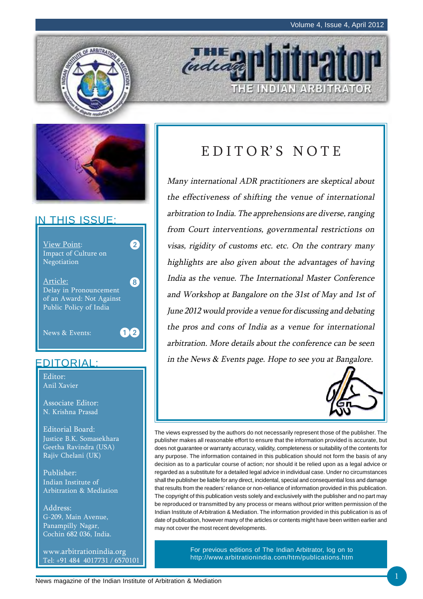



# IN THIS ISSUE:



# EDITORIAL:

Editor: Anil Xavier

Associate Editor: N. Krishna Prasad

Editorial Board: Justice B.K. Somasekhara Geetha Ravindra (USA) Rajiv Chelani (UK)

Publisher: Indian Institute of Arbitration & Mediation

Address: G-209, Main Avenue, Panampilly Nagar, Cochin 682 036, India.

www.arbitrationindia.org Tel: +91 484 4017731 / 6570101

# EDITOR'S NOTE

THE INDIAN ARBITRATOR

**THE D** 

Many international ADR practitioners are skeptical about the effectiveness of shifting the venue of international arbitration to India. The apprehensions are diverse, ranging from Court interventions, governmental restrictions on visas, rigidity of customs etc. etc. On the contrary many highlights are also given about the advantages of having India as the venue. The International Master Conference and Workshop at Bangalore on the 31st of May and 1st of June 2012 would provide a venue for discussing and debating the pros and cons of India as a venue for international arbitration. More details about the conference can be seen in the News & Events page. Hope to see you at Bangalore.



The views expressed by the authors do not necessarily represent those of the publisher. The publisher makes all reasonable effort to ensure that the information provided is accurate, but does not guarantee or warranty accuracy, validity, completeness or suitability of the contents for any purpose. The information contained in this publication should not form the basis of any decision as to a particular course of action; nor should it be relied upon as a legal advice or regarded as a substitute for a detailed legal advice in individual case. Under no circumstances shall the publisher be liable for any direct, incidental, special and consequential loss and damage that results from the readers' reliance or non-reliance of information provided in this publication. The copyright of this publication vests solely and exclusively with the publisher and no part may be reproduced or transmitted by any process or means without prior written permission of the Indian Institute of Arbitration & Mediation. The information provided in this publication is as of date of publication, however many of the articles or contents might have been written earlier and may not cover the most recent developments.

> For previous editions of The Indian Arbitrator, log on to http://www.arbitrationindia.com/htm/publications.htm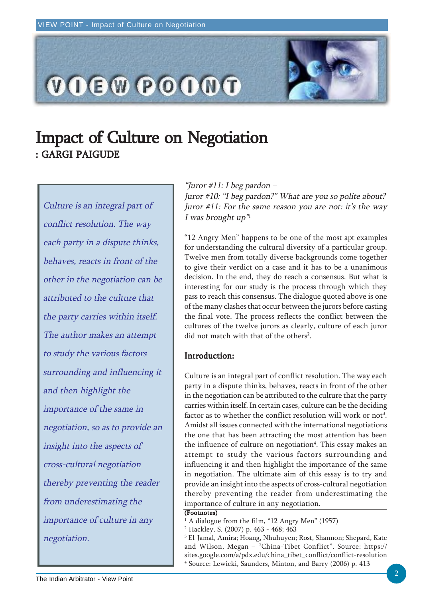

# Impact of Culture on Negotiation : GARGI PAIGUDE

Culture is an integral part of conflict resolution. The way each party in a dispute thinks, behaves, reacts in front of the other in the negotiation can be attributed to the culture that the party carries within itself. The author makes an attempt to study the various factors surrounding and influencing it and then highlight the importance of the same in negotiation, so as to provide an insight into the aspects of cross-cultural negotiation thereby preventing the reader from underestimating the importance of culture in any negotiation.

#### "Juror #11: I beg pardon –

Juror #10: "I beg pardon?" What are you so polite about? Juror #11: For the same reason you are not: it's the way I was brought  $up''$ 

"12 Angry Men" happens to be one of the most apt examples for understanding the cultural diversity of a particular group. Twelve men from totally diverse backgrounds come together to give their verdict on a case and it has to be a unanimous decision. In the end, they do reach a consensus. But what is interesting for our study is the process through which they pass to reach this consensus. The dialogue quoted above is one of the many clashes that occur between the jurors before casting the final vote. The process reflects the conflict between the cultures of the twelve jurors as clearly, culture of each juror did not match with that of the others<sup>2</sup>.

### Introduction:

Culture is an integral part of conflict resolution. The way each party in a dispute thinks, behaves, reacts in front of the other in the negotiation can be attributed to the culture that the party carries within itself. In certain cases, culture can be the deciding factor as to whether the conflict resolution will work or not<sup>3</sup>. Amidst all issues connected with the international negotiations the one that has been attracting the most attention has been the influence of culture on negotiation<sup>4</sup>. This essay makes an attempt to study the various factors surrounding and influencing it and then highlight the importance of the same in negotiation. The ultimate aim of this essay is to try and provide an insight into the aspects of cross-cultural negotiation thereby preventing the reader from underestimating the importance of culture in any negotiation.

#### (Footnotes)

1 A dialogue from the film, "12 Angry Men" (1957)

2 Hackley, S. (2007) p. 463 - 468; 463

3 El-Jamal, Amira; Hoang, Nhuhuyen; Rost, Shannon; Shepard, Kate and Wilson, Megan – "China-Tibet Conflict". Source: https:// sites.google.com/a/pdx.edu/china\_tibet\_conflict/conflict-resolution 4 Source: Lewicki, Saunders, Minton, and Barry (2006) p. 413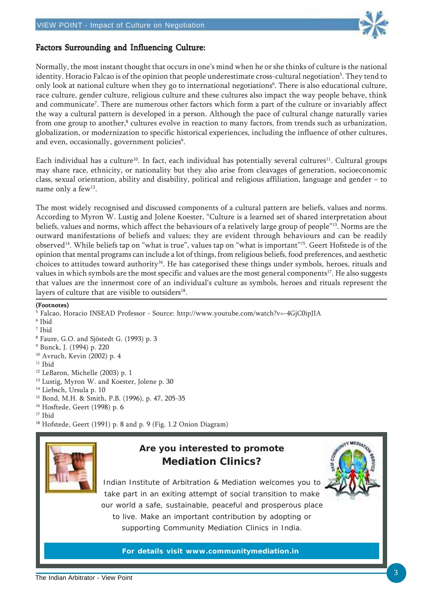

### Factors Surrounding and Influencing Culture:

Normally, the most instant thought that occurs in one's mind when he or she thinks of culture is the national identity. Horacio Falcao is of the opinion that people underestimate cross-cultural negotiation<sup>5</sup>. They tend to only look at national culture when they go to international negotiations<sup>6</sup>. There is also educational culture, race culture, gender culture, religious culture and these cultures also impact the way people behave, think and communicate<sup>7</sup>. There are numerous other factors which form a part of the culture or invariably affect the way a cultural pattern is developed in a person. Although the pace of cultural change naturally varies from one group to another, $^8$  cultures evolve in reaction to many factors, from trends such as urbanization, globalization, or modernization to specific historical experiences, including the influence of other cultures, and even, occasionally, government policies<sup>9</sup>.

Each individual has a culture<sup>10</sup>. In fact, each individual has potentially several cultures<sup>11</sup>. Cultural groups may share race, ethnicity, or nationality but they also arise from cleavages of generation, socioeconomic class, sexual orientation, ability and disability, political and religious affiliation, language and gender – to name only a few<sup>12</sup>.

The most widely recognised and discussed components of a cultural pattern are beliefs, values and norms. According to Myron W. Lustig and Jolene Koester, "Culture is a learned set of shared interpretation about beliefs, values and norms, which affect the behaviours of a relatively large group of people"13. Norms are the outward manifestations of beliefs and values; they are evident through behaviours and can be readily observed14. While beliefs tap on "what is true", values tap on "what is important"15. Geert Hofstede is of the opinion that mental programs can include a lot of things, from religious beliefs, food preferences, and aesthetic choices to attitudes toward authority<sup>16</sup>. He has categorised these things under symbols, heroes, rituals and values in which symbols are the most specific and values are the most general components<sup>17</sup>. He also suggests that values are the innermost core of an individual's culture as symbols, heroes and rituals represent the layers of culture that are visible to outsiders<sup>18</sup>.

#### (Footnotes)

<sup>5</sup> Falcao, Horacio INSEAD Professor - Source: http://www.youtube.com/watch?v=-4GjC0ipJIA 6 Ibid 7 Ibid 8 Faure, G.O. and Sjöstedt G. (1993) p. 3 9 Bunck, J. (1994) p. 220 10 Avruch, Kevin (2002) p. 4  $11$  Ibid 12 LeBaron, Michelle (2003) p. 1 <sup>13</sup> Lustig, Myron W. and Koester, Jolene p. 30 <sup>14</sup> Liebsch, Ursula p. 10 15 Bond, M.H. & Smith, P.B. (1996), p. 47, 205-35 16 Hosftede, Geert (1998) p. 6 <sup>17</sup> Ibid 18 Hofstede, Geert (1991) p. 8 and p. 9 (Fig. 1.2 Onion Diagram)



# **Are you interested to promote Mediation Clinics?**



Indian Institute of Arbitration & Mediation welcomes you to take part in an exiting attempt of social transition to make our world a safe, sustainable, peaceful and prosperous place to live. Make an important contribution by adopting or supporting Community Mediation Clinics in India.

**For details visit www.communitymediation.in**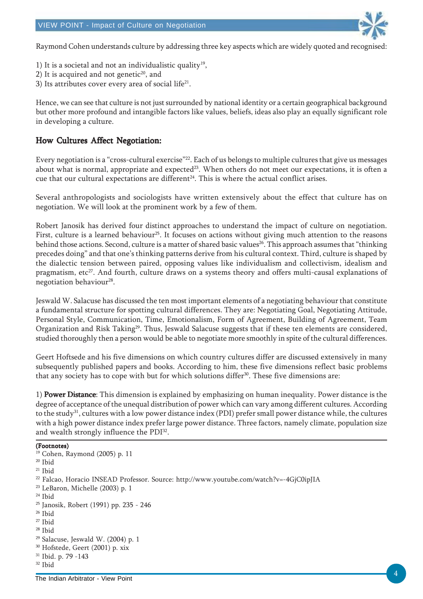

Raymond Cohen understands culture by addressing three key aspects which are widely quoted and recognised:

- 1) It is a societal and not an individualistic quality<sup>19</sup>,
- 2) It is acquired and not genetic $20$ , and
- 3) Its attributes cover every area of social life<sup>21</sup>.

Hence, we can see that culture is not just surrounded by national identity or a certain geographical background but other more profound and intangible factors like values, beliefs, ideas also play an equally significant role in developing a culture.

### How Cultures Affect Negotiation:

Every negotiation is a "cross-cultural exercise"22. Each of us belongs to multiple cultures that give us messages about what is normal, appropriate and expected<sup>23</sup>. When others do not meet our expectations, it is often a cue that our cultural expectations are different<sup>24</sup>. This is where the actual conflict arises.

Several anthropologists and sociologists have written extensively about the effect that culture has on negotiation. We will look at the prominent work by a few of them.

Robert Janosik has derived four distinct approaches to understand the impact of culture on negotiation. First, culture is a learned behaviour<sup>25</sup>. It focuses on actions without giving much attention to the reasons behind those actions. Second, culture is a matter of shared basic values<sup>26</sup>. This approach assumes that "thinking precedes doing" and that one's thinking patterns derive from his cultural context. Third, culture is shaped by the dialectic tension between paired, opposing values like individualism and collectivism, idealism and pragmatism, etc<sup>27</sup>. And fourth, culture draws on a systems theory and offers multi-causal explanations of negotiation behaviour<sup>28</sup>.

Jeswald W. Salacuse has discussed the ten most important elements of a negotiating behaviour that constitute a fundamental structure for spotting cultural differences. They are: Negotiating Goal, Negotiating Attitude, Personal Style, Communication, Time, Emotionalism, Form of Agreement, Building of Agreement, Team Organization and Risk Taking<sup>29</sup>. Thus, Jeswald Salacuse suggests that if these ten elements are considered, studied thoroughly then a person would be able to negotiate more smoothly in spite of the cultural differences.

Geert Hoftsede and his five dimensions on which country cultures differ are discussed extensively in many subsequently published papers and books. According to him, these five dimensions reflect basic problems that any society has to cope with but for which solutions differ<sup>30</sup>. These five dimensions are:

1) Power Distance: This dimension is explained by emphasizing on human inequality. Power distance is the degree of acceptance of the unequal distribution of power which can vary among different cultures. According to the study31, cultures with a low power distance index (PDI) prefer small power distance while, the cultures with a high power distance index prefer large power distance. Three factors, namely climate, population size and wealth strongly influence the PDI<sup>32</sup>.

```
(Footnotes)
19 Cohen, Raymond (2005) p. 11
20 Ibid
21 Ibid
22 Falcao, Horacio INSEAD Professor. Source: http://www.youtube.com/watch?v=-4GjC0ipJIA
23 LeBaron, Michelle (2003) p. 1
24 Ibid
25 Janosik, Robert (1991) pp. 235 - 246
26 Ibid
27 Ibid
28 Ibid
29 Salacuse, Jeswald W. (2004) p. 1
30 Hofstede, Geert (2001) p. xix
31 Ibid. p. 79 -143
32 Ibid
```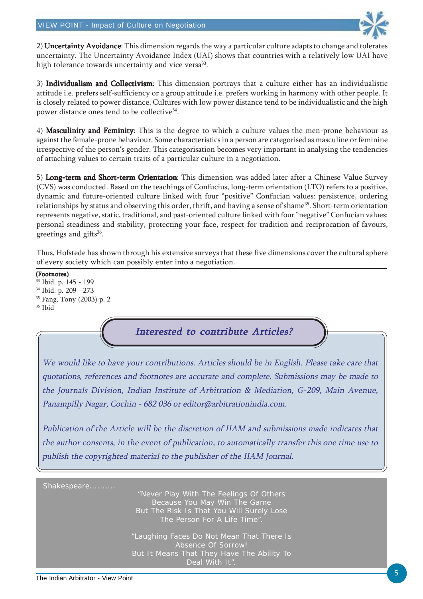

2) Uncertainty Avoidance: This dimension regards the way a particular culture adapts to change and tolerates uncertainty. The Uncertainty Avoidance Index (UAI) shows that countries with a relatively low UAI have high tolerance towards uncertainty and vice versa<sup>33</sup>.

3) Individualism and Collectivism: This dimension portrays that a culture either has an individualistic attitude i.e. prefers self-sufficiency or a group attitude i.e. prefers working in harmony with other people. It is closely related to power distance. Cultures with low power distance tend to be individualistic and the high power distance ones tend to be collective<sup>34</sup>.

4) Masculinity and Feminity: This is the degree to which a culture values the men-prone behaviour as against the female-prone behaviour. Some characteristics in a person are categorised as masculine or feminine irrespective of the person's gender. This categorisation becomes very important in analysing the tendencies of attaching values to certain traits of a particular culture in a negotiation.

5) Long-term and Short-term Orientation: This dimension was added later after a Chinese Value Survey (CVS) was conducted. Based on the teachings of Confucius, long-term orientation (LTO) refers to a positive, dynamic and future-oriented culture linked with four "positive" Confucian values: persistence, ordering relationships by status and observing this order, thrift, and having a sense of shame<sup>35</sup>. Short-term orientation represents negative, static, traditional, and past-oriented culture linked with four "negative" Confucian values: personal steadiness and stability, protecting your face, respect for tradition and reciprocation of favours, greetings and gifts<sup>36</sup>.

Thus, Hofstede has shown through his extensive surveys that these five dimensions cover the cultural sphere of every society which can possibly enter into a negotiation.

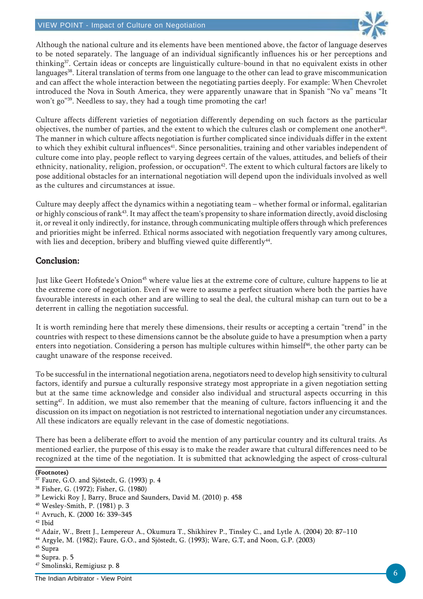#### VIEW POINT - Impact of Culture on Negotiation



Although the national culture and its elements have been mentioned above, the factor of language deserves to be noted separately. The language of an individual significantly influences his or her perceptions and thinking37. Certain ideas or concepts are linguistically culture-bound in that no equivalent exists in other languages<sup>38</sup>. Literal translation of terms from one language to the other can lead to grave miscommunication and can affect the whole interaction between the negotiating parties deeply. For example: When Chevrolet introduced the Nova in South America, they were apparently unaware that in Spanish "No va" means "It won't go"<sup>39</sup>. Needless to say, they had a tough time promoting the car!

Culture affects different varieties of negotiation differently depending on such factors as the particular objectives, the number of parties, and the extent to which the cultures clash or complement one another $40$ . The manner in which culture affects negotiation is further complicated since individuals differ in the extent to which they exhibit cultural influences<sup>41</sup>. Since personalities, training and other variables independent of culture come into play, people reflect to varying degrees certain of the values, attitudes, and beliefs of their ethnicity, nationality, religion, profession, or occupation<sup>42</sup>. The extent to which cultural factors are likely to pose additional obstacles for an international negotiation will depend upon the individuals involved as well as the cultures and circumstances at issue.

Culture may deeply affect the dynamics within a negotiating team – whether formal or informal, egalitarian or highly conscious of rank<sup>43</sup>. It may affect the team's propensity to share information directly, avoid disclosing it, or reveal it only indirectly, for instance, through communicating multiple offers through which preferences and priorities might be inferred. Ethical norms associated with negotiation frequently vary among cultures, with lies and deception, bribery and bluffing viewed quite differently<sup>44</sup>.

### Conclusion: Conclusion:

Just like Geert Hofstede's Onion<sup>45</sup> where value lies at the extreme core of culture, culture happens to lie at the extreme core of negotiation. Even if we were to assume a perfect situation where both the parties have favourable interests in each other and are willing to seal the deal, the cultural mishap can turn out to be a deterrent in calling the negotiation successful.

It is worth reminding here that merely these dimensions, their results or accepting a certain "trend" in the countries with respect to these dimensions cannot be the absolute guide to have a presumption when a party enters into negotiation. Considering a person has multiple cultures within himself<sup>46</sup>, the other party can be caught unaware of the response received.

To be successful in the international negotiation arena, negotiators need to develop high sensitivity to cultural factors, identify and pursue a culturally responsive strategy most appropriate in a given negotiation setting but at the same time acknowledge and consider also individual and structural aspects occurring in this setting<sup>47</sup>. In addition, we must also remember that the meaning of culture, factors influencing it and the discussion on its impact on negotiation is not restricted to international negotiation under any circumstances. All these indicators are equally relevant in the case of domestic negotiations.

There has been a deliberate effort to avoid the mention of any particular country and its cultural traits. As mentioned earlier, the purpose of this essay is to make the reader aware that cultural differences need to be recognized at the time of the negotiation. It is submitted that acknowledging the aspect of cross-cultural

#### (Footnotes)

<sup>&</sup>lt;sup>37</sup> Faure, G.O. and Sjöstedt, G. (1993) p. 4

<sup>38</sup> Fisher, G. (1972); Fisher, G. (1980)

<sup>39</sup> Lewicki Roy J, Barry, Bruce and Saunders, David M. (2010) p. 458

<sup>40</sup> Wesley-Smith, P. (1981) p. 3

<sup>41</sup> Avruch, K. (2000 16: 339–345

<sup>42</sup> Ibid

<sup>43</sup> Adair, W., Brett J., Lempereur A., Okumura T., Shikhirev P., Tinsley C., and Lytle A. (2004) 20: 87–110

<sup>44</sup> Argyle, M. (1982); Faure, G.O., and Sjöstedt, G. (1993); Ware, G.T, and Noon, G.P. (2003)

<sup>45</sup> Supra

<sup>46</sup> Supra. p. 5

<sup>47</sup> Smolinski, Remigiusz p. 8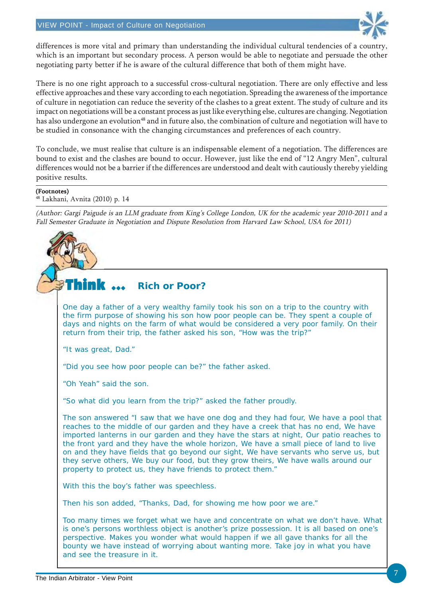

differences is more vital and primary than understanding the individual cultural tendencies of a country, which is an important but secondary process. A person would be able to negotiate and persuade the other negotiating party better if he is aware of the cultural difference that both of them might have.

There is no one right approach to a successful cross-cultural negotiation. There are only effective and less effective approaches and these vary according to each negotiation. Spreading the awareness of the importance of culture in negotiation can reduce the severity of the clashes to a great extent. The study of culture and its impact on negotiations will be a constant process as just like everything else, cultures are changing. Negotiation has also undergone an evolution<sup>48</sup> and in future also, the combination of culture and negotiation will have to be studied in consonance with the changing circumstances and preferences of each country.

To conclude, we must realise that culture is an indispensable element of a negotiation. The differences are bound to exist and the clashes are bound to occur. However, just like the end of "12 Angry Men", cultural differences would not be a barrier if the differences are understood and dealt with cautiously thereby yielding positive results.

#### (Footnotes)

48 Lakhani, Avnita (2010) p. 14

(Author: Gargi Paigude is an LLM graduate from King's College London, UK for the academic year 2010-2011 and a Fall Semester Graduate in Negotiation and Dispute Resolution from Harvard Law School, USA for 2011)

#### Think  $\, \cdots \,$ **Rich or Poor?**

One day a father of a very wealthy family took his son on a trip to the country with the firm purpose of showing his son how poor people can be. They spent a couple of days and nights on the farm of what would be considered a very poor family. On their return from their trip, the father asked his son, "How was the trip?"

"It was great, Dad."

"Did you see how poor people can be?" the father asked.

"Oh Yeah" said the son.

"So what did you learn from the trip?" asked the father proudly.

The son answered "I saw that we have one dog and they had four, We have a pool that reaches to the middle of our garden and they have a creek that has no end, We have imported lanterns in our garden and they have the stars at night, Our patio reaches to the front yard and they have the whole horizon, We have a small piece of land to live on and they have fields that go beyond our sight, We have servants who serve us, but they serve others, We buy our food, but they grow theirs, We have walls around our property to protect us, they have friends to protect them."

With this the boy's father was speechless.

Then his son added, "Thanks, Dad, for showing me how poor we are."

Too many times we forget what we have and concentrate on what we don't have. What is one's persons worthless object is another's prize possession. It is all based on one's perspective. Makes you wonder what would happen if we all gave thanks for all the bounty we have instead of worrying about wanting more. Take joy in what you have and see the treasure in it.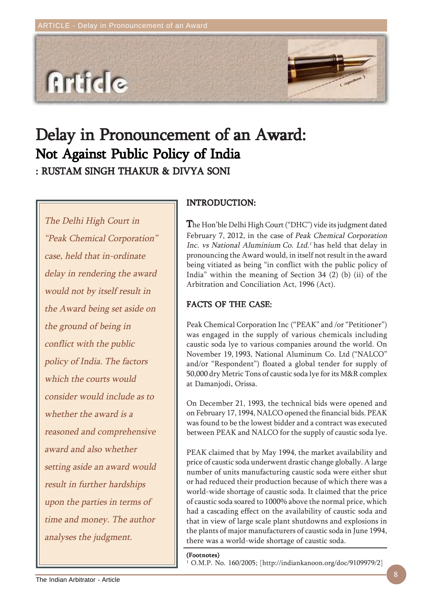

# Delay in Pronouncement of an Award: Not Against Public Policy of India

: RUSTAM SINGH THAKUR & DIVYA SONI : RUSTAM SINGH THAKUR &

The Delhi High Court in "Peak Chemical Corporation" case, held that in-ordinate delay in rendering the award would not by itself result in the Award being set aside on the ground of being in conflict with the public policy of India. The factors which the courts would consider would include as to whether the award is a reasoned and comprehensive award and also whether setting aside an award would result in further hardships upon the parties in terms of time and money. The author analyses the judgment.

### INTRODUCTION: INTRODUCTION:

The Hon'ble Delhi High Court ("DHC") vide its judgment dated February 7, 2012, in the case of Peak Chemical Corporation Inc. vs National Aluminium Co. Ltd.<sup>1</sup> has held that delay in pronouncing the Award would, in itself not result in the award being vitiated as being "in conflict with the public policy of India" within the meaning of Section 34 (2) (b) (ii) of the Arbitration and Conciliation Act, 1996 (Act).

### FACTS OF THE CASE:

Peak Chemical Corporation Inc ("PEAK" and /or "Petitioner") was engaged in the supply of various chemicals including caustic soda lye to various companies around the world. On November 19, 1993, National Aluminum Co. Ltd ("NALCO" and/or "Respondent") floated a global tender for supply of 50,000 dry Metric Tons of caustic soda lye for its M&R complex at Damanjodi, Orissa.

On December 21, 1993, the technical bids were opened and on February 17, 1994, NALCO opened the financial bids. PEAK was found to be the lowest bidder and a contract was executed between PEAK and NALCO for the supply of caustic soda lye.

PEAK claimed that by May 1994, the market availability and price of caustic soda underwent drastic change globally. A large number of units manufacturing caustic soda were either shut or had reduced their production because of which there was a world-wide shortage of caustic soda. It claimed that the price of caustic soda soared to 1000% above the normal price, which had a cascading effect on the availability of caustic soda and that in view of large scale plant shutdowns and explosions in the plants of major manufacturers of caustic soda in June 1994, there was a world-wide shortage of caustic soda.

#### (Footnotes)

1 O.M.P. No. 160/2005; [http://indiankanoon.org/doc/9109979/2]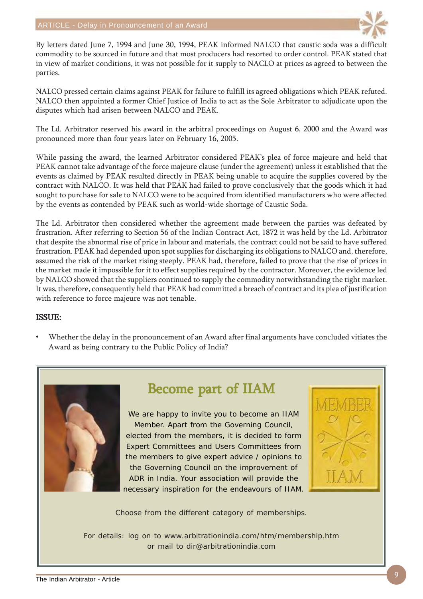

By letters dated June 7, 1994 and June 30, 1994, PEAK informed NALCO that caustic soda was a difficult commodity to be sourced in future and that most producers had resorted to order control. PEAK stated that in view of market conditions, it was not possible for it supply to NACLO at prices as agreed to between the parties.

NALCO pressed certain claims against PEAK for failure to fulfill its agreed obligations which PEAK refuted. NALCO then appointed a former Chief Justice of India to act as the Sole Arbitrator to adjudicate upon the disputes which had arisen between NALCO and PEAK.

The Ld. Arbitrator reserved his award in the arbitral proceedings on August 6, 2000 and the Award was pronounced more than four years later on February 16, 2005.

While passing the award, the learned Arbitrator considered PEAK's plea of force majeure and held that PEAK cannot take advantage of the force majeure clause (under the agreement) unless it established that the events as claimed by PEAK resulted directly in PEAK being unable to acquire the supplies covered by the contract with NALCO. It was held that PEAK had failed to prove conclusively that the goods which it had sought to purchase for sale to NALCO were to be acquired from identified manufacturers who were affected by the events as contended by PEAK such as world-wide shortage of Caustic Soda.

The Ld. Arbitrator then considered whether the agreement made between the parties was defeated by frustration. After referring to Section 56 of the Indian Contract Act, 1872 it was held by the Ld. Arbitrator that despite the abnormal rise of price in labour and materials, the contract could not be said to have suffered frustration. PEAK had depended upon spot supplies for discharging its obligations to NALCO and, therefore, assumed the risk of the market rising steeply. PEAK had, therefore, failed to prove that the rise of prices in the market made it impossible for it to effect supplies required by the contractor. Moreover, the evidence led by NALCO showed that the suppliers continued to supply the commodity notwithstanding the tight market. It was, therefore, consequently held that PEAK had committed a breach of contract and its plea of justification with reference to force majeure was not tenable.

#### ISSUE:

• Whether the delay in the pronouncement of an Award after final arguments have concluded vitiates the Award as being contrary to the Public Policy of India?



# Become part of IIAM

We are happy to invite you to become an IIAM Member. Apart from the Governing Council, elected from the members, it is decided to form Expert Committees and Users Committees from the members to give expert advice / opinions to the Governing Council on the improvement of ADR in India. Your association will provide the necessary inspiration for the endeavours of IIAM.



Choose from the different category of memberships.

For details: log on to www.arbitrationindia.com/htm/membership.htm or mail to dir@arbitrationindia.com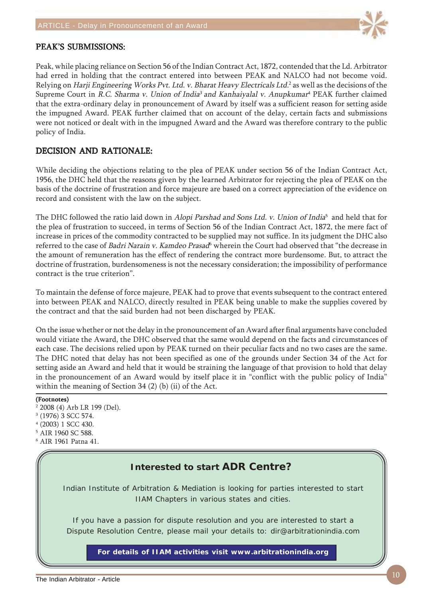

#### PEAK'S SUBMISSIONS:

Peak, while placing reliance on Section 56 of the Indian Contract Act, 1872, contended that the Ld. Arbitrator had erred in holding that the contract entered into between PEAK and NALCO had not become void. Relying on *Harji Engineering Works Pvt. Ltd. v. Bharat Heavy Electricals Ltd.<sup>2</sup> as well as the decisions of the* Supreme Court in *R.C. Sharma v. Union of India<sup>3</sup> and Kanhaiyalal v. Anupkumar*<sup>4</sup> PEAK further claimed that the extra-ordinary delay in pronouncement of Award by itself was a sufficient reason for setting aside the impugned Award. PEAK further claimed that on account of the delay, certain facts and submissions were not noticed or dealt with in the impugned Award and the Award was therefore contrary to the public policy of India.

### DECISION AND RATIONALE:

While deciding the objections relating to the plea of PEAK under section 56 of the Indian Contract Act, 1956, the DHC held that the reasons given by the learned Arbitrator for rejecting the plea of PEAK on the basis of the doctrine of frustration and force majeure are based on a correct appreciation of the evidence on record and consistent with the law on the subject.

The DHC followed the ratio laid down in *Alopi Parshad and Sons Ltd. v. Union of India*<sup>5</sup> and held that for the plea of frustration to succeed, in terms of Section 56 of the Indian Contract Act, 1872, the mere fact of increase in prices of the commodity contracted to be supplied may not suffice. In its judgment the DHC also referred to the case of *Badri Narain v. Kamdeo Prasad*<sup>6</sup> wherein the Court had observed that "the decrease in the amount of remuneration has the effect of rendering the contract more burdensome. But, to attract the doctrine of frustration, burdensomeness is not the necessary consideration; the impossibility of performance contract is the true criterion".

To maintain the defense of force majeure, PEAK had to prove that events subsequent to the contract entered into between PEAK and NALCO, directly resulted in PEAK being unable to make the supplies covered by the contract and that the said burden had not been discharged by PEAK.

On the issue whether or not the delay in the pronouncement of an Award after final arguments have concluded would vitiate the Award, the DHC observed that the same would depend on the facts and circumstances of each case. The decisions relied upon by PEAK turned on their peculiar facts and no two cases are the same. The DHC noted that delay has not been specified as one of the grounds under Section 34 of the Act for setting aside an Award and held that it would be straining the language of that provision to hold that delay in the pronouncement of an Award would by itself place it in "conflict with the public policy of India" within the meaning of Section 34 (2) (b) (ii) of the Act.

#### (Footnotes)

- 2 2008 (4) Arb LR 199 (Del).
- 3 (1976) 3 SCC 574.
- 4 (2003) 1 SCC 430.
- 5 AIR 1960 SC 588.
- 6 AIR 1961 Patna 41.

## **Interested to start ADR Centre?**

Indian Institute of Arbitration & Mediation is looking for parties interested to start IIAM Chapters in various states and cities.

If you have a passion for dispute resolution and you are interested to start a Dispute Resolution Centre, please mail your details to: dir@arbitrationindia.com

**For details of IIAM activities visit www.arbitrationindia.org**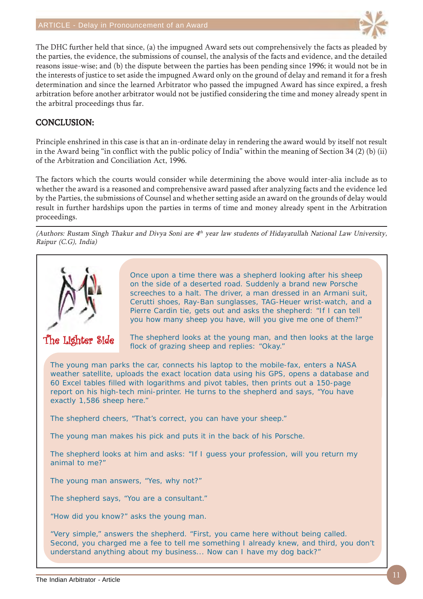

The DHC further held that since, (a) the impugned Award sets out comprehensively the facts as pleaded by the parties, the evidence, the submissions of counsel, the analysis of the facts and evidence, and the detailed reasons issue-wise; and (b) the dispute between the parties has been pending since 1996; it would not be in the interests of justice to set aside the impugned Award only on the ground of delay and remand it for a fresh determination and since the learned Arbitrator who passed the impugned Award has since expired, a fresh arbitration before another arbitrator would not be justified considering the time and money already spent in the arbitral proceedings thus far.

### CONCLUSION: CONCLUSION:

Principle enshrined in this case is that an in-ordinate delay in rendering the award would by itself not result in the Award being "in conflict with the public policy of India" within the meaning of Section 34 (2) (b) (ii) of the Arbitration and Conciliation Act, 1996.

The factors which the courts would consider while determining the above would inter-alia include as to whether the award is a reasoned and comprehensive award passed after analyzing facts and the evidence led by the Parties, the submissions of Counsel and whether setting aside an award on the grounds of delay would result in further hardships upon the parties in terms of time and money already spent in the Arbitration proceedings.

(Authors: Rustam Singh Thakur and Divya Soni are  $4<sup>th</sup>$  year law students of Hidayatullah National Law University, Raipur (C.G), India)



Once upon a time there was a shepherd looking after his sheep on the side of a deserted road. Suddenly a brand new Porsche screeches to a halt. The driver, a man dressed in an Armani suit, Cerutti shoes, Ray-Ban sunglasses, TAG-Heuer wrist-watch, and a Pierre Cardin tie, gets out and asks the shepherd: "If I can tell you how many sheep you have, will you give me one of them?"

The Lighter Side

The shepherd looks at the young man, and then looks at the large flock of grazing sheep and replies: "Okay."

The young man parks the car, connects his laptop to the mobile-fax, enters a NASA weather satellite, uploads the exact location data using his GPS, opens a database and 60 Excel tables filled with logarithms and pivot tables, then prints out a 150-page report on his high-tech mini-printer. He turns to the shepherd and says, "You have exactly 1,586 sheep here."

The shepherd cheers, "That's correct, you can have your sheep."

The young man makes his pick and puts it in the back of his Porsche.

The shepherd looks at him and asks: "If I guess your profession, will you return my animal to me?"

The young man answers, "Yes, why not?"

The shepherd says, "You are a consultant."

"How did you know?" asks the young man.

"Very simple," answers the shepherd. "First, you came here without being called. Second, you charged me a fee to tell me something I already knew, and third, you don't understand anything about my business... Now can I have my dog back?"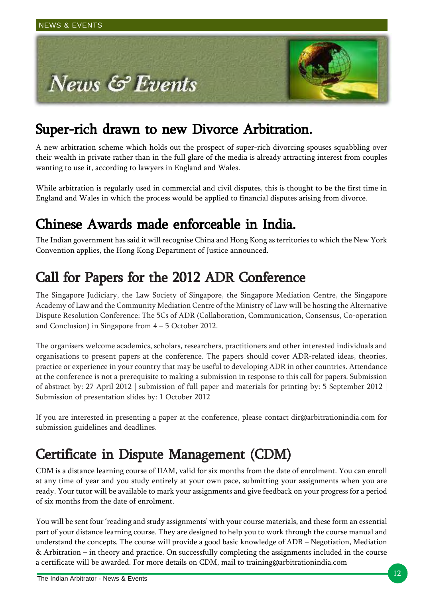

# Super-rich drawn to new Divorce Arbitration.

A new arbitration scheme which holds out the prospect of super-rich divorcing spouses squabbling over their wealth in private rather than in the full glare of the media is already attracting interest from couples wanting to use it, according to lawyers in England and Wales.

While arbitration is regularly used in commercial and civil disputes, this is thought to be the first time in England and Wales in which the process would be applied to financial disputes arising from divorce.

# Chinese Awards made enforceable in India. Chinese Awards made enforceable in India.Chinese Awards made enforceable in India.

The Indian government has said it will recognise China and Hong Kong as territories to which the New York Convention applies, the Hong Kong Department of Justice announced.

# Call for Papers for the 2012 ADR Conference

The Singapore Judiciary, the Law Society of Singapore, the Singapore Mediation Centre, the Singapore Academy of Law and the Community Mediation Centre of the Ministry of Law will be hosting the Alternative Dispute Resolution Conference: The 5Cs of ADR (Collaboration, Communication, Consensus, Co-operation and Conclusion) in Singapore from 4 – 5 October 2012.

The organisers welcome academics, scholars, researchers, practitioners and other interested individuals and organisations to present papers at the conference. The papers should cover ADR-related ideas, theories, practice or experience in your country that may be useful to developing ADR in other countries. Attendance at the conference is not a prerequisite to making a submission in response to this call for papers. Submission of abstract by: 27 April 2012 | submission of full paper and materials for printing by: 5 September 2012 | Submission of presentation slides by: 1 October 2012

If you are interested in presenting a paper at the conference, please contact dir@arbitrationindia.com for submission guidelines and deadlines.

# Certificate in Dispute Management (CDM)

CDM is a distance learning course of IIAM, valid for six months from the date of enrolment. You can enroll at any time of year and you study entirely at your own pace, submitting your assignments when you are ready. Your tutor will be available to mark your assignments and give feedback on your progress for a period of six months from the date of enrolment.

You will be sent four 'reading and study assignments' with your course materials, and these form an essential part of your distance learning course. They are designed to help you to work through the course manual and understand the concepts. The course will provide a good basic knowledge of ADR – Negotiation, Mediation & Arbitration – in theory and practice. On successfully completing the assignments included in the course a certificate will be awarded. For more details on CDM, mail to training@arbitrationindia.com